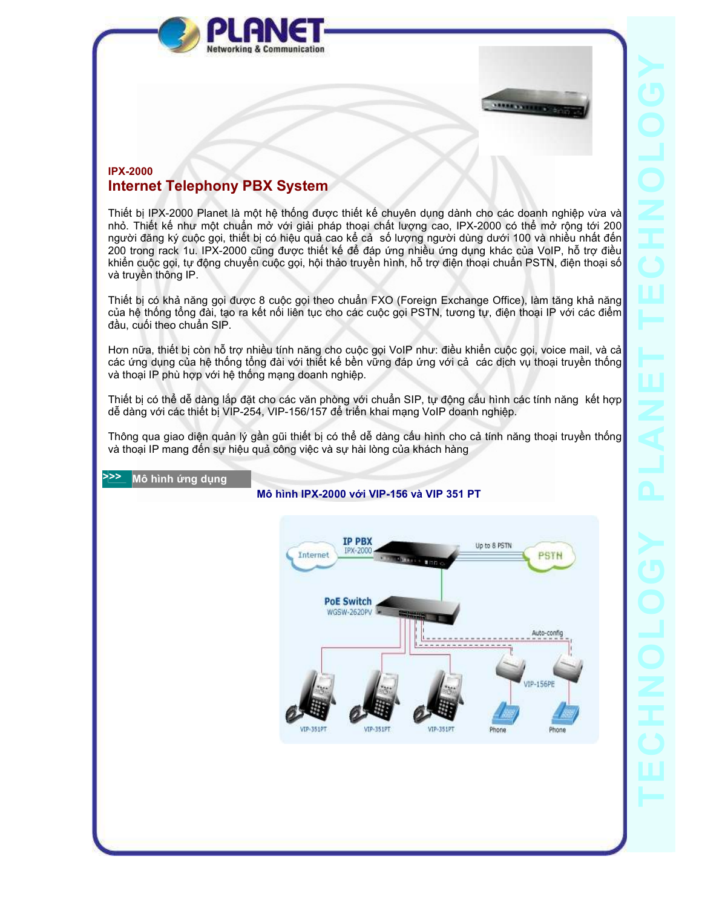



## IPX-2000 Internet Telephony PBX System

Thiết bị IPX-2000 Planet là một hệ thống ñược thiết kế chuyên dụng dành cho các doanh nghiệp vừa và nhỏ. Thiết kế như một chuẩn mở với giải pháp thoại chất lượng cao, IPX-2000 có thể mở rộng tới 200 người đăng ký cuộc gọi, thiết bị có hiệu quả cao kể cả số lượng người dùng dưới 100 và nhiều nhất đến 200 trong rack 1u. IPX-2000 cũng ñược thiết kế ñể ñáp ứng nhiều ứng dụng khác của VoIP, hỗ trợ ñiều khiển cuộc gọi, tự ñộng chuyển cuộc gọi, hội thảo truyền hình, hỗ trợ ñiện thoại chuẩn PSTN, ñiện thoại số và truyền thông IP.

Thiết bị có khả năng gọi ñược 8 cuộc gọi theo chuẩn FXO (Foreign Exchange Office), làm tăng khả năng của hệ thống tổng ñài, tạo ra kết nối liên tục cho các cuộc gọi PSTN, tương tự, ñiện thoại IP với các ñiểm đầu, cuối theo chuẩn SIP.

Hơn nữa, thiết bị còn hỗ trợ nhiều tính năng cho cuộc gọi VoIP như: điều khiển cuộc gọi, voice mail, và cả các ứng dụng của hệ thống tổng ñài với thiết kế bền vững ñáp ứng với cả các dịch vụ thoại truyền thống và thoại IP phù hợp với hệ thống mạng doanh nghiệp.

Thiết bị có thể dễ dàng lắp đặt cho các văn phòng với chuẩn SIP, tự động cấu hình các tính năng kết hợp dễ dàng với các thiết bị VIP-254, VIP-156/157 ñể triển khai mạng VoIP doanh nghiệp.

Thông qua giao diện quản lý gần gũi thiết bị có thể dễ dàng cấu hình cho cả tính năng thoại truyền thống và thoại IP mang ñến sự hiệu quả công việc và sự hài lòng của khách hàng

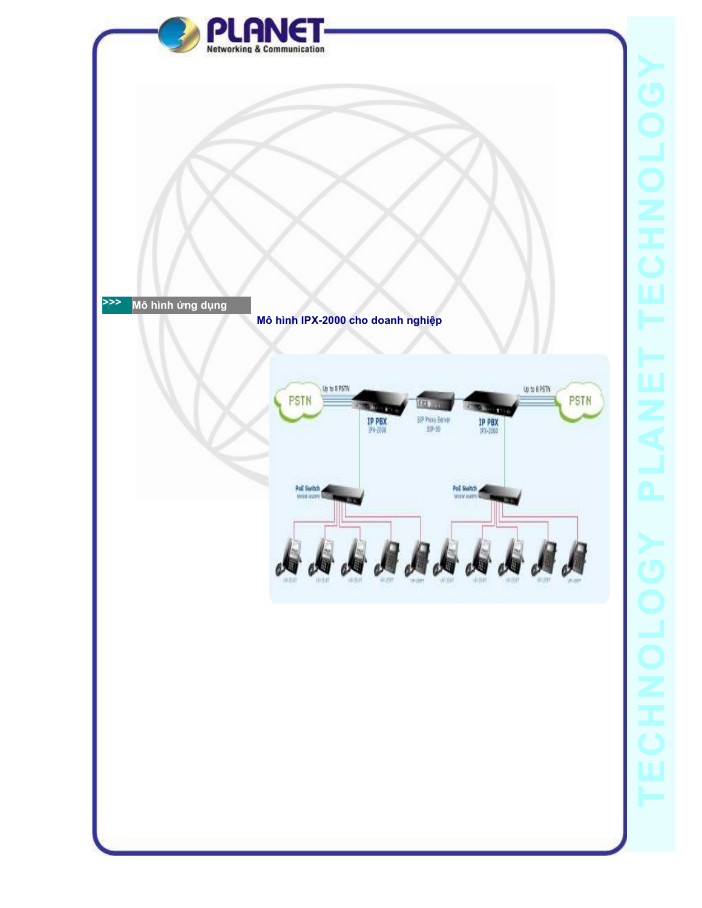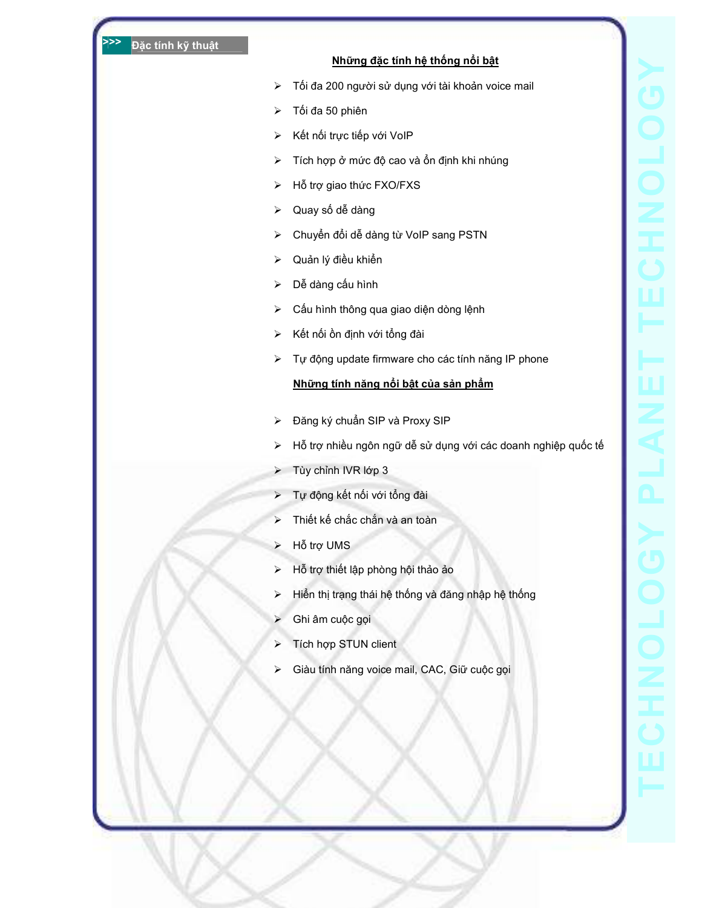## Những đặc tính hệ thống nổi bật

- > Tối đa 200 người sử dụng với tài khoản voice mail
- > Tối đa 50 phiên
- Kết nối trực tiếp với VoIP
- > Tích hợp ở mức độ cao và ổn định khi nhúng
- > Hỗ trợ giao thức FXO/FXS
- Quay số dễ dàng
- > Chuyển đổi dễ dàng từ VoIP sang PSTN
- > Quản lý điều khiển
- Dễ dàng cấu hình
- Cấu hình thông qua giao diện dòng lệnh
- > Kết nối ồn định với tổng đài
- Tự ñộng update firmware cho các tính năng IP phone

## Những tính năng nổi bật của sản phẩm

- ≻ Đăng ký chuẩn SIP và Proxy SIP
- Hỗ trợ nhiều ngôn ngữ dễ sử dụng với các doanh nghiệp quốc tế
- Tùy chỉnh IVR lớp 3
- > Tự động kết nối với tổng đài
- > Thiết kế chắc chắn và an toàn
- Hỗ trợ UMS
- Hỗ trợ thiết lập phòng hội thảo ảo
- > Hiển thị trạng thái hệ thống và đăng nhập hệ thống
- Ghi âm cuộc gọi
- > Tích hợp STUN client
- Giàu tính năng voice mail, CAC, Giữ cuộc gọi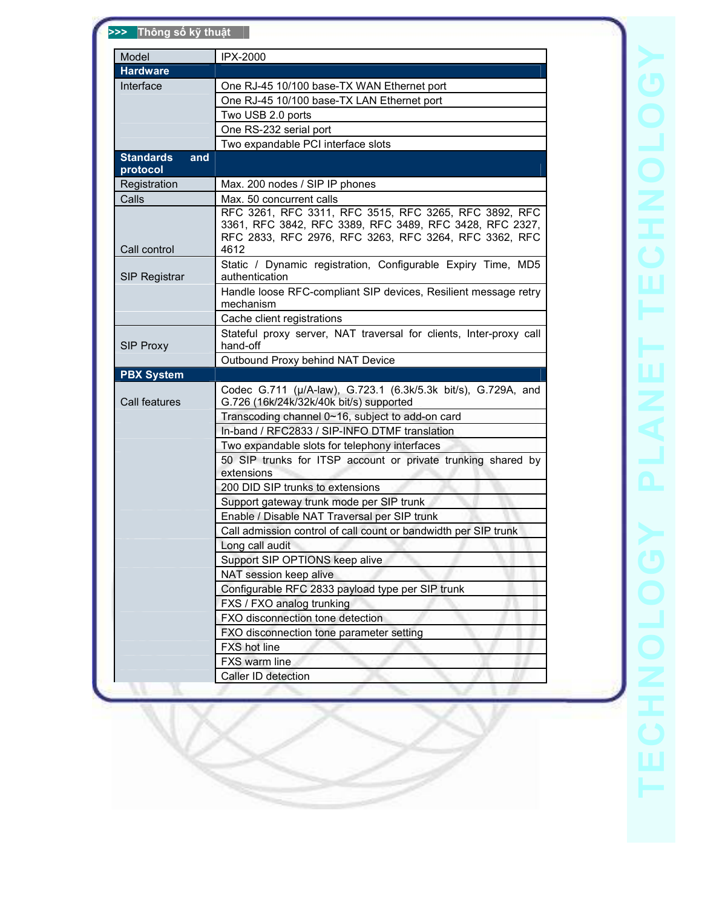| Model                   | IPX-2000                                                                                                                                                                          |  |
|-------------------------|-----------------------------------------------------------------------------------------------------------------------------------------------------------------------------------|--|
| <b>Hardware</b>         |                                                                                                                                                                                   |  |
| Interface               | One RJ-45 10/100 base-TX WAN Ethernet port                                                                                                                                        |  |
|                         | One RJ-45 10/100 base-TX LAN Ethernet port                                                                                                                                        |  |
|                         | Two USB 2.0 ports                                                                                                                                                                 |  |
|                         | One RS-232 serial port                                                                                                                                                            |  |
|                         | Two expandable PCI interface slots                                                                                                                                                |  |
| <b>Standards</b><br>and |                                                                                                                                                                                   |  |
| protocol                |                                                                                                                                                                                   |  |
| Registration            | Max. 200 nodes / SIP IP phones                                                                                                                                                    |  |
| Calls                   | Max. 50 concurrent calls                                                                                                                                                          |  |
| Call control            | RFC 3261, RFC 3311, RFC 3515, RFC 3265, RFC 3892, RFC<br>3361, RFC 3842, RFC 3389, RFC 3489, RFC 3428, RFC 2327,<br>RFC 2833, RFC 2976, RFC 3263, RFC 3264, RFC 3362, RFC<br>4612 |  |
|                         | Static / Dynamic registration, Configurable Expiry Time, MD5                                                                                                                      |  |
| <b>SIP Registrar</b>    | authentication                                                                                                                                                                    |  |
|                         | Handle loose RFC-compliant SIP devices, Resilient message retry                                                                                                                   |  |
|                         | mechanism                                                                                                                                                                         |  |
|                         | Cache client registrations                                                                                                                                                        |  |
| SIP Proxy               | Stateful proxy server, NAT traversal for clients, Inter-proxy call<br>hand-off                                                                                                    |  |
|                         | Outbound Proxy behind NAT Device                                                                                                                                                  |  |
| <b>PBX System</b>       |                                                                                                                                                                                   |  |
| Call features           | Codec G.711 (µ/A-law), G.723.1 (6.3k/5.3k bit/s), G.729A, and<br>G.726 (16k/24k/32k/40k bit/s) supported                                                                          |  |
|                         | Transcoding channel 0~16, subject to add-on card                                                                                                                                  |  |
|                         | In-band / RFC2833 / SIP-INFO DTMF translation                                                                                                                                     |  |
|                         | Two expandable slots for telephony interfaces                                                                                                                                     |  |
|                         | 50 SIP trunks for ITSP account or private trunking shared by                                                                                                                      |  |
|                         | extensions                                                                                                                                                                        |  |
|                         | 200 DID SIP trunks to extensions                                                                                                                                                  |  |
|                         | Support gateway trunk mode per SIP trunk                                                                                                                                          |  |
|                         | Enable / Disable NAT Traversal per SIP trunk                                                                                                                                      |  |
|                         | Call admission control of call count or bandwidth per SIP trunk                                                                                                                   |  |
|                         | Long call audit                                                                                                                                                                   |  |
|                         | Support SIP OPTIONS keep alive                                                                                                                                                    |  |
|                         | NAT session keep alive                                                                                                                                                            |  |
|                         | Configurable RFC 2833 payload type per SIP trunk                                                                                                                                  |  |
|                         | FXS / FXO analog trunking                                                                                                                                                         |  |
|                         | FXO disconnection tone detection                                                                                                                                                  |  |
|                         | FXO disconnection tone parameter setting                                                                                                                                          |  |
|                         |                                                                                                                                                                                   |  |
|                         | <b>FXS</b> hot line                                                                                                                                                               |  |
|                         | FXS warm line                                                                                                                                                                     |  |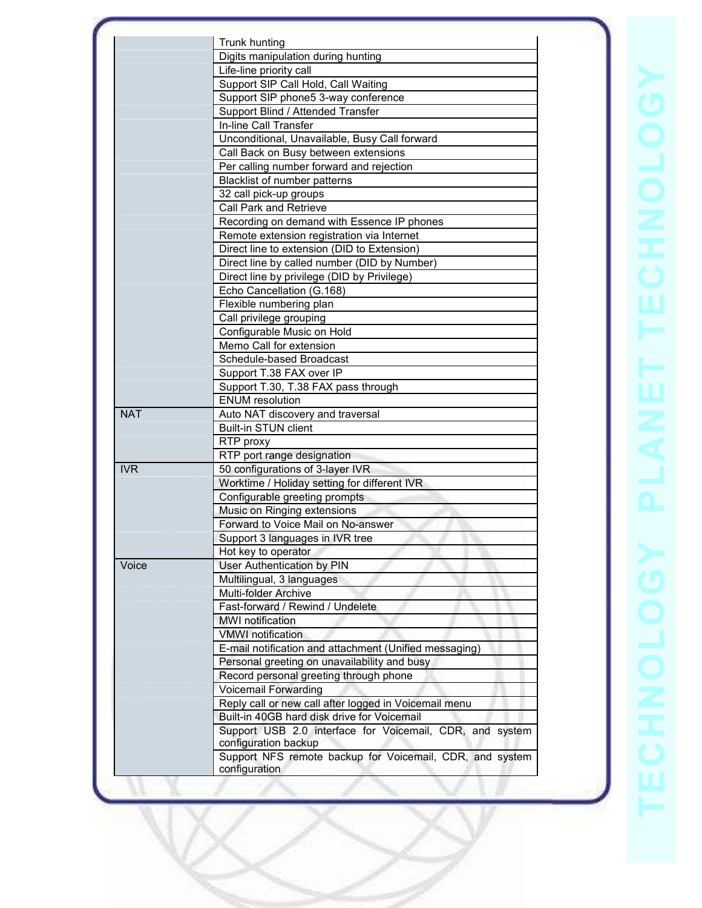|            | Trunk hunting                                                  |  |
|------------|----------------------------------------------------------------|--|
|            | Digits manipulation during hunting                             |  |
|            | Life-line priority call                                        |  |
|            | Support SIP Call Hold, Call Waiting                            |  |
|            | Support SIP phone5 3-way conference                            |  |
|            | Support Blind / Attended Transfer                              |  |
|            | In-line Call Transfer                                          |  |
|            | Unconditional, Unavailable, Busy Call forward                  |  |
|            | Call Back on Busy between extensions                           |  |
|            | Per calling number forward and rejection                       |  |
|            | Blacklist of number patterns                                   |  |
|            | 32 call pick-up groups                                         |  |
|            | <b>Call Park and Retrieve</b>                                  |  |
|            | Recording on demand with Essence IP phones                     |  |
|            | Remote extension registration via Internet                     |  |
|            | Direct line to extension (DID to Extension)                    |  |
|            | Direct line by called number (DID by Number)                   |  |
|            | Direct line by privilege (DID by Privilege)                    |  |
|            | Echo Cancellation (G.168)                                      |  |
|            | Flexible numbering plan                                        |  |
|            | Call privilege grouping                                        |  |
|            | Configurable Music on Hold                                     |  |
|            | Memo Call for extension                                        |  |
|            | Schedule-based Broadcast                                       |  |
|            | Support T.38 FAX over IP                                       |  |
|            | Support T.30, T.38 FAX pass through                            |  |
|            | <b>ENUM</b> resolution                                         |  |
| <b>NAT</b> | Auto NAT discovery and traversal                               |  |
|            | <b>Built-in STUN client</b>                                    |  |
|            | RTP proxy                                                      |  |
|            |                                                                |  |
| <b>IVR</b> | RTP port range designation<br>50 configurations of 3-layer IVR |  |
|            |                                                                |  |
|            | Worktime / Holiday setting for different IVR                   |  |
|            | Configurable greeting prompts                                  |  |
|            | Music on Ringing extensions                                    |  |
|            | Forward to Voice Mail on No-answer                             |  |
|            | Support 3 languages in IVR tree                                |  |
|            | Hot key to operator                                            |  |
| Voice      | User Authentication by PIN                                     |  |
|            | Multilingual, 3 languages                                      |  |
|            | <b>Multi-folder Archive</b>                                    |  |
|            | Fast-forward / Rewind / Undelete                               |  |
|            | <b>MWI</b> notification                                        |  |
|            | <b>VMWI</b> notification                                       |  |
|            | E-mail notification and attachment (Unified messaging)         |  |
|            | Personal greeting on unavailability and busy                   |  |
|            | Record personal greeting through phone                         |  |
|            | <b>Voicemail Forwarding</b>                                    |  |
|            | Reply call or new call after logged in Voicemail menu          |  |
|            | Built-in 40GB hard disk drive for Voicemail                    |  |
|            | Support USB 2.0 interface for Voicemail, CDR, and system       |  |
|            | configuration backup                                           |  |
|            | Support NFS remote backup for Voicemail, CDR, and system       |  |
|            | configuration                                                  |  |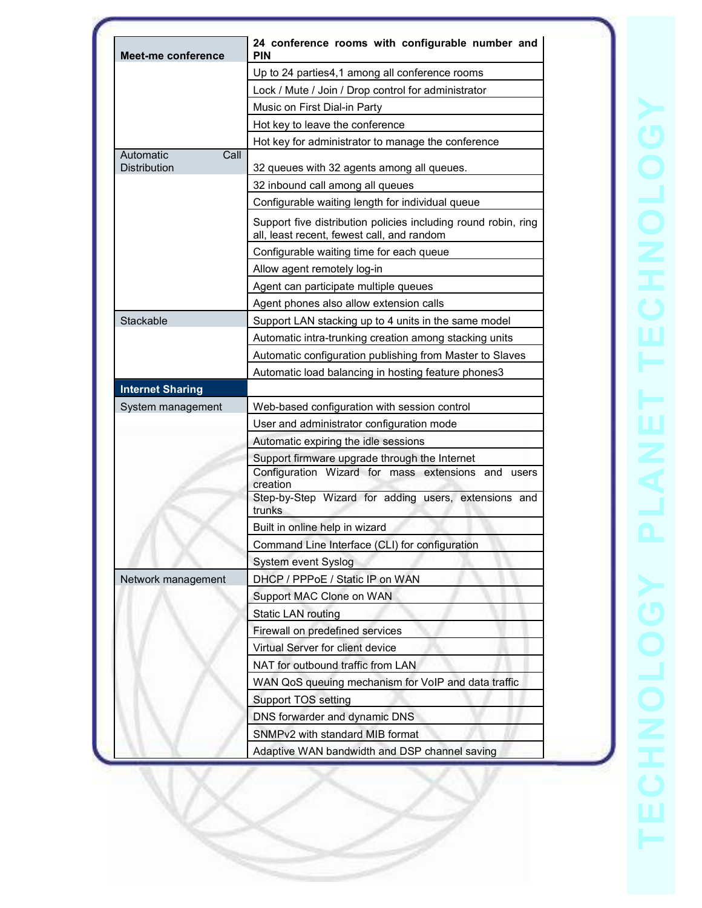| Meet-me conference                       | 24 conference rooms with configurable number and<br><b>PIN</b>                                               |  |
|------------------------------------------|--------------------------------------------------------------------------------------------------------------|--|
|                                          | Up to 24 parties4,1 among all conference rooms                                                               |  |
|                                          | Lock / Mute / Join / Drop control for administrator                                                          |  |
|                                          | Music on First Dial-in Party                                                                                 |  |
|                                          | Hot key to leave the conference                                                                              |  |
|                                          | Hot key for administrator to manage the conference                                                           |  |
| Call<br>Automatic<br><b>Distribution</b> |                                                                                                              |  |
|                                          | 32 queues with 32 agents among all queues.                                                                   |  |
|                                          | 32 inbound call among all queues                                                                             |  |
|                                          | Configurable waiting length for individual queue                                                             |  |
|                                          | Support five distribution policies including round robin, ring<br>all, least recent, fewest call, and random |  |
|                                          | Configurable waiting time for each queue                                                                     |  |
|                                          | Allow agent remotely log-in                                                                                  |  |
|                                          | Agent can participate multiple queues                                                                        |  |
|                                          | Agent phones also allow extension calls                                                                      |  |
| Stackable                                | Support LAN stacking up to 4 units in the same model                                                         |  |
|                                          | Automatic intra-trunking creation among stacking units                                                       |  |
|                                          | Automatic configuration publishing from Master to Slaves                                                     |  |
|                                          | Automatic load balancing in hosting feature phones3                                                          |  |
| <b>Internet Sharing</b>                  |                                                                                                              |  |
| System management                        | Web-based configuration with session control                                                                 |  |
|                                          | User and administrator configuration mode                                                                    |  |
|                                          | Automatic expiring the idle sessions                                                                         |  |
|                                          | Support firmware upgrade through the Internet<br>Configuration Wizard for mass extensions and users          |  |
|                                          | creation<br>Step-by-Step Wizard for adding users, extensions and                                             |  |
|                                          | trunks                                                                                                       |  |
|                                          | Built in online help in wizard                                                                               |  |
|                                          | Command Line Interface (CLI) for configuration                                                               |  |
|                                          | System event Syslog                                                                                          |  |
| Network management                       | DHCP / PPPoE / Static IP on WAN                                                                              |  |
|                                          | Support MAC Clone on WAN                                                                                     |  |
|                                          | <b>Static LAN routing</b>                                                                                    |  |
|                                          | Firewall on predefined services                                                                              |  |
|                                          | Virtual Server for client device                                                                             |  |
|                                          | NAT for outbound traffic from LAN                                                                            |  |
|                                          | WAN QoS queuing mechanism for VoIP and data traffic                                                          |  |
|                                          | Support TOS setting                                                                                          |  |
|                                          | DNS forwarder and dynamic DNS                                                                                |  |
|                                          | SNMPv2 with standard MIB format                                                                              |  |
|                                          |                                                                                                              |  |